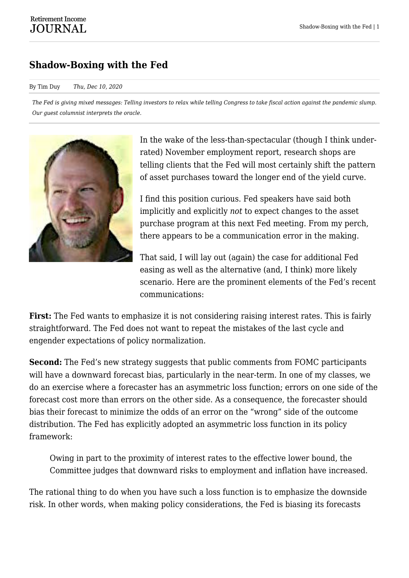## **Shadow-Boxing with the Fed**

## By Tim Duy *Thu, Dec 10, 2020*

*The Fed is giving mixed messages: Telling investors to relax while telling Congress to take fiscal action against the pandemic slump. Our guest columnist interprets the oracle.*



In the wake of the less-than-spectacular (though I think underrated) November employment report, research shops are telling clients that the Fed will most certainly shift the pattern of asset purchases toward the longer end of the yield curve.

I find this position curious. Fed speakers have said both implicitly and explicitly *not* to expect changes to the asset purchase program at this next Fed meeting. From my perch, there appears to be a communication error in the making.

That said, I will lay out (again) the case for additional Fed easing as well as the alternative (and, I think) more likely scenario. Here are the prominent elements of the Fed's recent communications:

**First:** The Fed wants to emphasize it is not considering raising interest rates. This is fairly straightforward. The Fed does not want to repeat the mistakes of the last cycle and engender expectations of policy normalization.

**Second:** The Fed's new strategy suggests that public comments from FOMC participants will have a downward forecast bias, particularly in the near-term. In one of my classes, we do an exercise where a forecaster has an asymmetric loss function; errors on one side of the forecast cost more than errors on the other side. As a consequence, the forecaster should bias their forecast to minimize the odds of an error on the "wrong" side of the outcome distribution. The Fed has explicitly adopted an asymmetric loss function in its policy framework:

Owing in part to the proximity of interest rates to the effective lower bound, the Committee judges that downward risks to employment and inflation have increased.

The rational thing to do when you have such a loss function is to emphasize the downside risk. In other words, when making policy considerations, the Fed is biasing its forecasts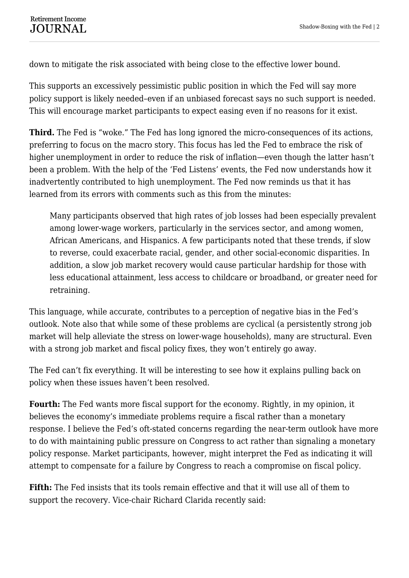down to mitigate the risk associated with being close to the effective lower bound.

This supports an excessively pessimistic public position in which the Fed will say more policy support is likely needed–even if an unbiased forecast says no such support is needed. This will encourage market participants to expect easing even if no reasons for it exist.

**Third.** The Fed is "woke." The Fed has long ignored the micro-consequences of its actions, preferring to focus on the macro story. This focus has led the Fed to embrace the risk of higher unemployment in order to reduce the risk of inflation—even though the latter hasn't been a problem. With the help of the 'Fed Listens' events, the Fed now understands how it inadvertently contributed to high unemployment. The Fed now reminds us that it has learned from its errors with comments such as this from the minutes:

Many participants observed that high rates of job losses had been especially prevalent among lower-wage workers, particularly in the services sector, and among women, African Americans, and Hispanics. A few participants noted that these trends, if slow to reverse, could exacerbate racial, gender, and other social-economic disparities. In addition, a slow job market recovery would cause particular hardship for those with less educational attainment, less access to childcare or broadband, or greater need for retraining.

This language, while accurate, contributes to a perception of negative bias in the Fed's outlook. Note also that while some of these problems are cyclical (a persistently strong job market will help alleviate the stress on lower-wage households), many are structural. Even with a strong job market and fiscal policy fixes, they won't entirely go away.

The Fed can't fix everything. It will be interesting to see how it explains pulling back on policy when these issues haven't been resolved.

**Fourth:** The Fed wants more fiscal support for the economy. Rightly, in my opinion, it believes the economy's immediate problems require a fiscal rather than a monetary response. I believe the Fed's oft-stated concerns regarding the near-term outlook have more to do with maintaining public pressure on Congress to act rather than signaling a monetary policy response. Market participants, however, might interpret the Fed as indicating it will attempt to compensate for a failure by Congress to reach a compromise on fiscal policy.

**Fifth:** The Fed insists that its tools remain effective and that it will use all of them to support the recovery. Vice-chair Richard Clarida recently said: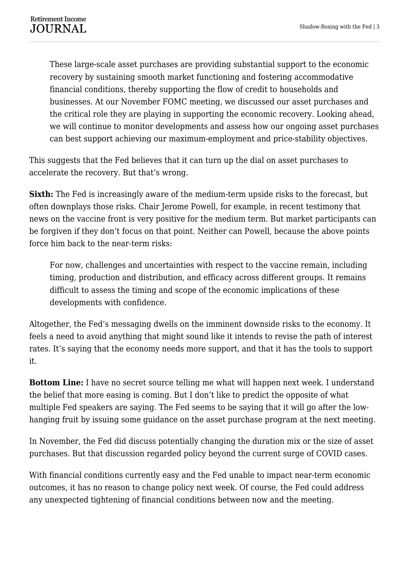These large-scale asset purchases are providing substantial support to the economic recovery by sustaining smooth market functioning and fostering accommodative financial conditions, thereby supporting the flow of credit to households and businesses. At our November FOMC meeting, we discussed our asset purchases and the critical role they are playing in supporting the economic recovery. Looking ahead, we will continue to monitor developments and assess how our ongoing asset purchases can best support achieving our maximum-employment and price-stability objectives.

This suggests that the Fed believes that it can turn up the dial on asset purchases to accelerate the recovery. But that's wrong.

**Sixth:** The Fed is increasingly aware of the medium-term upside risks to the forecast, but often downplays those risks. Chair Jerome Powell, for example, in recent testimony that news on the vaccine front is very positive for the medium term. But market participants can be forgiven if they don't focus on that point. Neither can Powell, because the above points force him back to the near-term risks:

For now, challenges and uncertainties with respect to the vaccine remain, including timing, production and distribution, and efficacy across different groups. It remains difficult to assess the timing and scope of the economic implications of these developments with confidence.

Altogether, the Fed's messaging dwells on the imminent downside risks to the economy. It feels a need to avoid anything that might sound like it intends to revise the path of interest rates. It's saying that the economy needs more support, and that it has the tools to support it.

**Bottom Line:** I have no secret source telling me what will happen next week. I understand the belief that more easing is coming. But I don't like to predict the opposite of what multiple Fed speakers are saying. The Fed seems to be saying that it will go after the lowhanging fruit by issuing some guidance on the asset purchase program at the next meeting.

In November, the Fed did discuss potentially changing the duration mix or the size of asset purchases. But that discussion regarded policy beyond the current surge of COVID cases.

With financial conditions currently easy and the Fed unable to impact near-term economic outcomes, it has no reason to change policy next week. Of course, the Fed could address any unexpected tightening of financial conditions between now and the meeting.